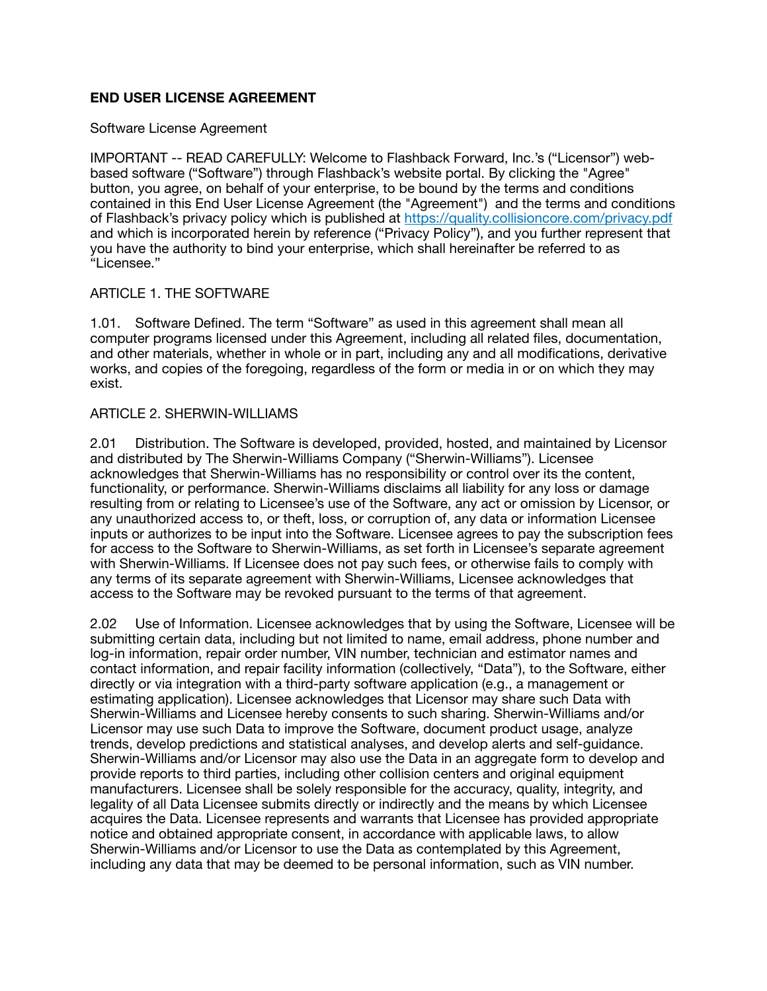# **END USER LICENSE AGREEMENT**

### Software License Agreement

IMPORTANT -- READ CAREFULLY: Welcome to Flashback Forward, Inc.'s ("Licensor") webbased software ("Software") through Flashback's website portal. By clicking the "Agree" button, you agree, on behalf of your enterprise, to be bound by the terms and conditions contained in this End User License Agreement (the "Agreement") and the terms and conditions of Flashback's privacy policy which is published at <https://quality.collisioncore.com/privacy.pdf> and which is incorporated herein by reference ("Privacy Policy"), and you further represent that you have the authority to bind your enterprise, which shall hereinafter be referred to as "Licensee."

### ARTICLE 1. THE SOFTWARE

1.01. Software Defined. The term "Software" as used in this agreement shall mean all computer programs licensed under this Agreement, including all related files, documentation, and other materials, whether in whole or in part, including any and all modifications, derivative works, and copies of the foregoing, regardless of the form or media in or on which they may exist.

### ARTICLE 2. SHERWIN-WILLIAMS

2.01 Distribution. The Software is developed, provided, hosted, and maintained by Licensor and distributed by The Sherwin-Williams Company ("Sherwin-Williams"). Licensee acknowledges that Sherwin-Williams has no responsibility or control over its the content, functionality, or performance. Sherwin-Williams disclaims all liability for any loss or damage resulting from or relating to Licensee's use of the Software, any act or omission by Licensor, or any unauthorized access to, or theft, loss, or corruption of, any data or information Licensee inputs or authorizes to be input into the Software. Licensee agrees to pay the subscription fees for access to the Software to Sherwin-Williams, as set forth in Licensee's separate agreement with Sherwin-Williams. If Licensee does not pay such fees, or otherwise fails to comply with any terms of its separate agreement with Sherwin-Williams, Licensee acknowledges that access to the Software may be revoked pursuant to the terms of that agreement.

2.02 Use of Information. Licensee acknowledges that by using the Software, Licensee will be submitting certain data, including but not limited to name, email address, phone number and log-in information, repair order number, VIN number, technician and estimator names and contact information, and repair facility information (collectively, "Data"), to the Software, either directly or via integration with a third-party software application (e.g., a management or estimating application). Licensee acknowledges that Licensor may share such Data with Sherwin-Williams and Licensee hereby consents to such sharing. Sherwin-Williams and/or Licensor may use such Data to improve the Software, document product usage, analyze trends, develop predictions and statistical analyses, and develop alerts and self-guidance. Sherwin-Williams and/or Licensor may also use the Data in an aggregate form to develop and provide reports to third parties, including other collision centers and original equipment manufacturers. Licensee shall be solely responsible for the accuracy, quality, integrity, and legality of all Data Licensee submits directly or indirectly and the means by which Licensee acquires the Data. Licensee represents and warrants that Licensee has provided appropriate notice and obtained appropriate consent, in accordance with applicable laws, to allow Sherwin-Williams and/or Licensor to use the Data as contemplated by this Agreement, including any data that may be deemed to be personal information, such as VIN number.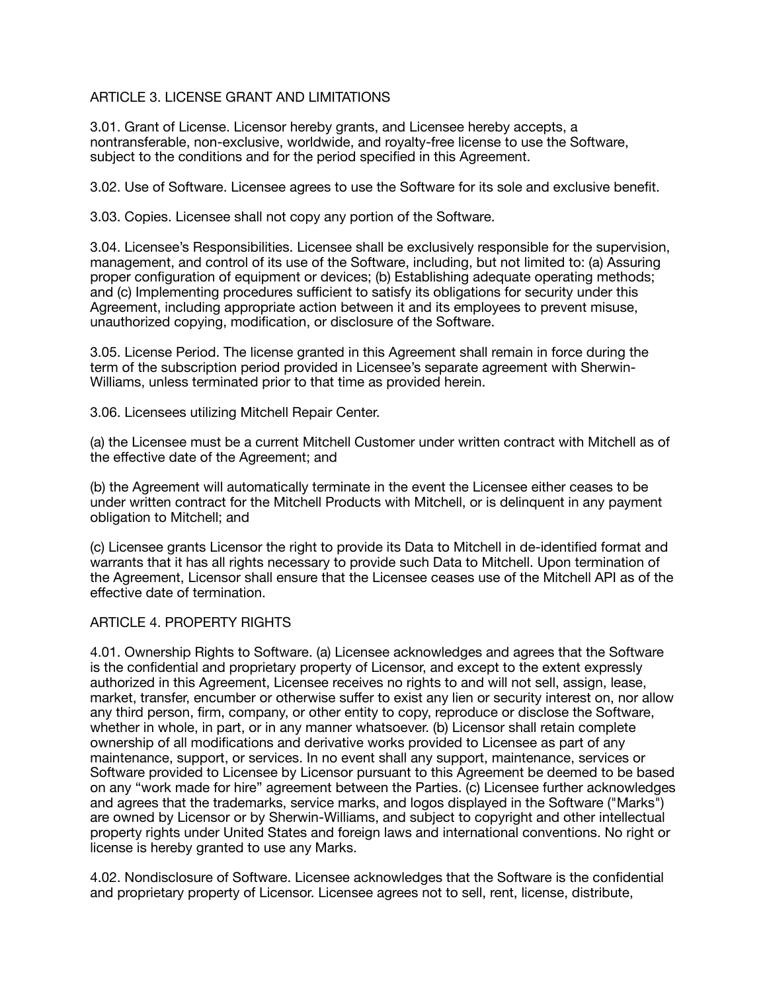# ARTICLE 3. LICENSE GRANT AND LIMITATIONS

3.01. Grant of License. Licensor hereby grants, and Licensee hereby accepts, a nontransferable, non-exclusive, worldwide, and royalty-free license to use the Software, subject to the conditions and for the period specified in this Agreement.

3.02. Use of Software. Licensee agrees to use the Software for its sole and exclusive benefit.

3.03. Copies. Licensee shall not copy any portion of the Software.

3.04. Licensee's Responsibilities. Licensee shall be exclusively responsible for the supervision, management, and control of its use of the Software, including, but not limited to: (a) Assuring proper configuration of equipment or devices; (b) Establishing adequate operating methods; and (c) Implementing procedures sufficient to satisfy its obligations for security under this Agreement, including appropriate action between it and its employees to prevent misuse, unauthorized copying, modification, or disclosure of the Software.

3.05. License Period. The license granted in this Agreement shall remain in force during the term of the subscription period provided in Licensee's separate agreement with Sherwin-Williams, unless terminated prior to that time as provided herein.

3.06. Licensees utilizing Mitchell Repair Center.

(a) the Licensee must be a current Mitchell Customer under written contract with Mitchell as of the effective date of the Agreement; and

(b) the Agreement will automatically terminate in the event the Licensee either ceases to be under written contract for the Mitchell Products with Mitchell, or is delinquent in any payment obligation to Mitchell; and

(c) Licensee grants Licensor the right to provide its Data to Mitchell in de-identified format and warrants that it has all rights necessary to provide such Data to Mitchell. Upon termination of the Agreement, Licensor shall ensure that the Licensee ceases use of the Mitchell API as of the effective date of termination.

### ARTICLE 4. PROPERTY RIGHTS

4.01. Ownership Rights to Software. (a) Licensee acknowledges and agrees that the Software is the confidential and proprietary property of Licensor, and except to the extent expressly authorized in this Agreement, Licensee receives no rights to and will not sell, assign, lease, market, transfer, encumber or otherwise suffer to exist any lien or security interest on, nor allow any third person, firm, company, or other entity to copy, reproduce or disclose the Software, whether in whole, in part, or in any manner whatsoever. (b) Licensor shall retain complete ownership of all modifications and derivative works provided to Licensee as part of any maintenance, support, or services. In no event shall any support, maintenance, services or Software provided to Licensee by Licensor pursuant to this Agreement be deemed to be based on any "work made for hire" agreement between the Parties. (c) Licensee further acknowledges and agrees that the trademarks, service marks, and logos displayed in the Software ("Marks") are owned by Licensor or by Sherwin-Williams, and subject to copyright and other intellectual property rights under United States and foreign laws and international conventions. No right or license is hereby granted to use any Marks.

4.02. Nondisclosure of Software. Licensee acknowledges that the Software is the confidential and proprietary property of Licensor. Licensee agrees not to sell, rent, license, distribute,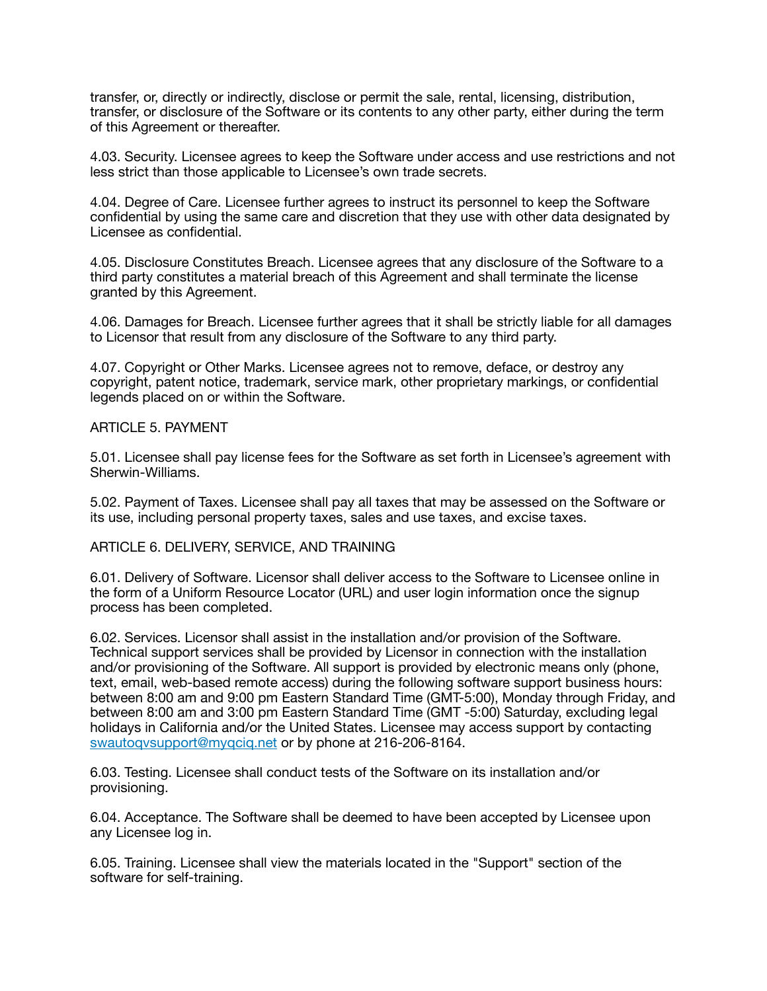transfer, or, directly or indirectly, disclose or permit the sale, rental, licensing, distribution, transfer, or disclosure of the Software or its contents to any other party, either during the term of this Agreement or thereafter.

4.03. Security. Licensee agrees to keep the Software under access and use restrictions and not less strict than those applicable to Licensee's own trade secrets.

4.04. Degree of Care. Licensee further agrees to instruct its personnel to keep the Software confidential by using the same care and discretion that they use with other data designated by Licensee as confidential.

4.05. Disclosure Constitutes Breach. Licensee agrees that any disclosure of the Software to a third party constitutes a material breach of this Agreement and shall terminate the license granted by this Agreement.

4.06. Damages for Breach. Licensee further agrees that it shall be strictly liable for all damages to Licensor that result from any disclosure of the Software to any third party.

4.07. Copyright or Other Marks. Licensee agrees not to remove, deface, or destroy any copyright, patent notice, trademark, service mark, other proprietary markings, or confidential legends placed on or within the Software.

### ARTICLE 5. PAYMENT

5.01. Licensee shall pay license fees for the Software as set forth in Licensee's agreement with Sherwin-Williams.

5.02. Payment of Taxes. Licensee shall pay all taxes that may be assessed on the Software or its use, including personal property taxes, sales and use taxes, and excise taxes.

#### ARTICLE 6. DELIVERY, SERVICE, AND TRAINING

6.01. Delivery of Software. Licensor shall deliver access to the Software to Licensee online in the form of a Uniform Resource Locator (URL) and user login information once the signup process has been completed.

6.02. Services. Licensor shall assist in the installation and/or provision of the Software. Technical support services shall be provided by Licensor in connection with the installation and/or provisioning of the Software. All support is provided by electronic means only (phone, text, email, web-based remote access) during the following software support business hours: between 8:00 am and 9:00 pm Eastern Standard Time (GMT-5:00), Monday through Friday, and between 8:00 am and 3:00 pm Eastern Standard Time (GMT -5:00) Saturday, excluding legal holidays in California and/or the United States. Licensee may access support by contacting [swautoqvsupport@myqciq.net](mailto:swautoqvsupport@myqciq.net) or by phone at 216-206-8164.

6.03. Testing. Licensee shall conduct tests of the Software on its installation and/or provisioning.

6.04. Acceptance. The Software shall be deemed to have been accepted by Licensee upon any Licensee log in.

6.05. Training. Licensee shall view the materials located in the "Support" section of the software for self-training.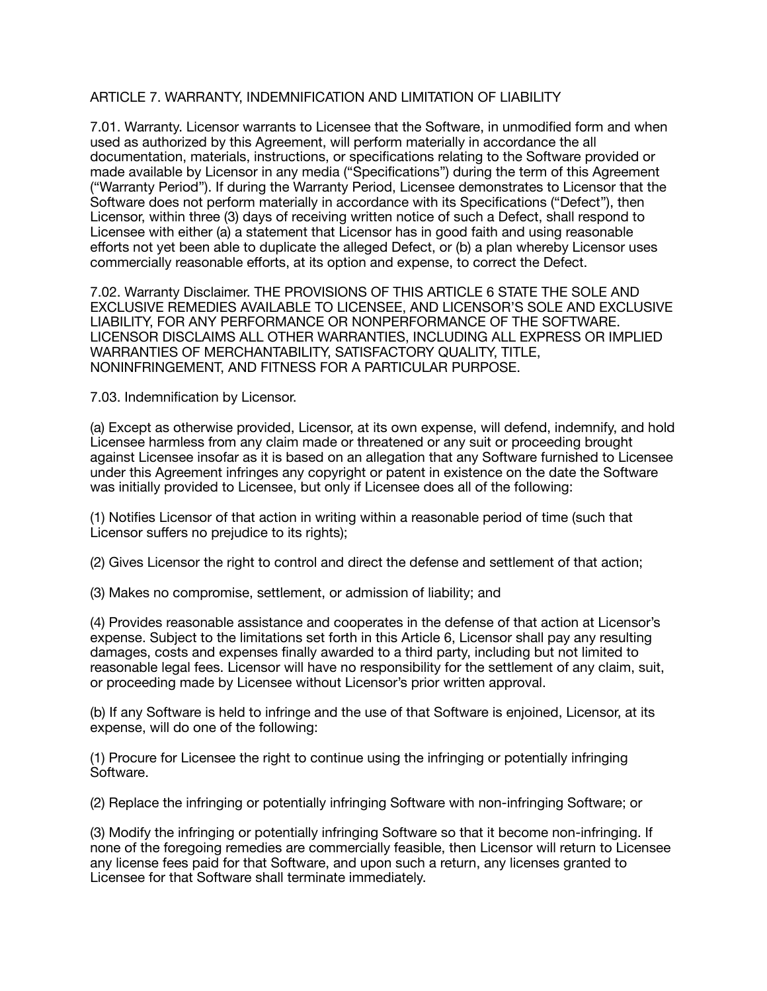## ARTICLE 7. WARRANTY, INDEMNIFICATION AND LIMITATION OF LIABILITY

7.01. Warranty. Licensor warrants to Licensee that the Software, in unmodified form and when used as authorized by this Agreement, will perform materially in accordance the all documentation, materials, instructions, or specifications relating to the Software provided or made available by Licensor in any media ("Specifications") during the term of this Agreement ("Warranty Period"). If during the Warranty Period, Licensee demonstrates to Licensor that the Software does not perform materially in accordance with its Specifications ("Defect"), then Licensor, within three (3) days of receiving written notice of such a Defect, shall respond to Licensee with either (a) a statement that Licensor has in good faith and using reasonable efforts not yet been able to duplicate the alleged Defect, or (b) a plan whereby Licensor uses commercially reasonable efforts, at its option and expense, to correct the Defect.

7.02. Warranty Disclaimer. THE PROVISIONS OF THIS ARTICLE 6 STATE THE SOLE AND EXCLUSIVE REMEDIES AVAILABLE TO LICENSEE, AND LICENSOR'S SOLE AND EXCLUSIVE LIABILITY, FOR ANY PERFORMANCE OR NONPERFORMANCE OF THE SOFTWARE. LICENSOR DISCLAIMS ALL OTHER WARRANTIES, INCLUDING ALL EXPRESS OR IMPLIED WARRANTIES OF MERCHANTABILITY, SATISFACTORY QUALITY, TITLE, NONINFRINGEMENT, AND FITNESS FOR A PARTICULAR PURPOSE.

7.03. Indemnification by Licensor.

(a) Except as otherwise provided, Licensor, at its own expense, will defend, indemnify, and hold Licensee harmless from any claim made or threatened or any suit or proceeding brought against Licensee insofar as it is based on an allegation that any Software furnished to Licensee under this Agreement infringes any copyright or patent in existence on the date the Software was initially provided to Licensee, but only if Licensee does all of the following:

(1) Notifies Licensor of that action in writing within a reasonable period of time (such that Licensor suffers no prejudice to its rights);

(2) Gives Licensor the right to control and direct the defense and settlement of that action;

(3) Makes no compromise, settlement, or admission of liability; and

(4) Provides reasonable assistance and cooperates in the defense of that action at Licensor's expense. Subject to the limitations set forth in this Article 6, Licensor shall pay any resulting damages, costs and expenses finally awarded to a third party, including but not limited to reasonable legal fees. Licensor will have no responsibility for the settlement of any claim, suit, or proceeding made by Licensee without Licensor's prior written approval.

(b) If any Software is held to infringe and the use of that Software is enjoined, Licensor, at its expense, will do one of the following:

(1) Procure for Licensee the right to continue using the infringing or potentially infringing Software.

(2) Replace the infringing or potentially infringing Software with non-infringing Software; or

(3) Modify the infringing or potentially infringing Software so that it become non-infringing. If none of the foregoing remedies are commercially feasible, then Licensor will return to Licensee any license fees paid for that Software, and upon such a return, any licenses granted to Licensee for that Software shall terminate immediately.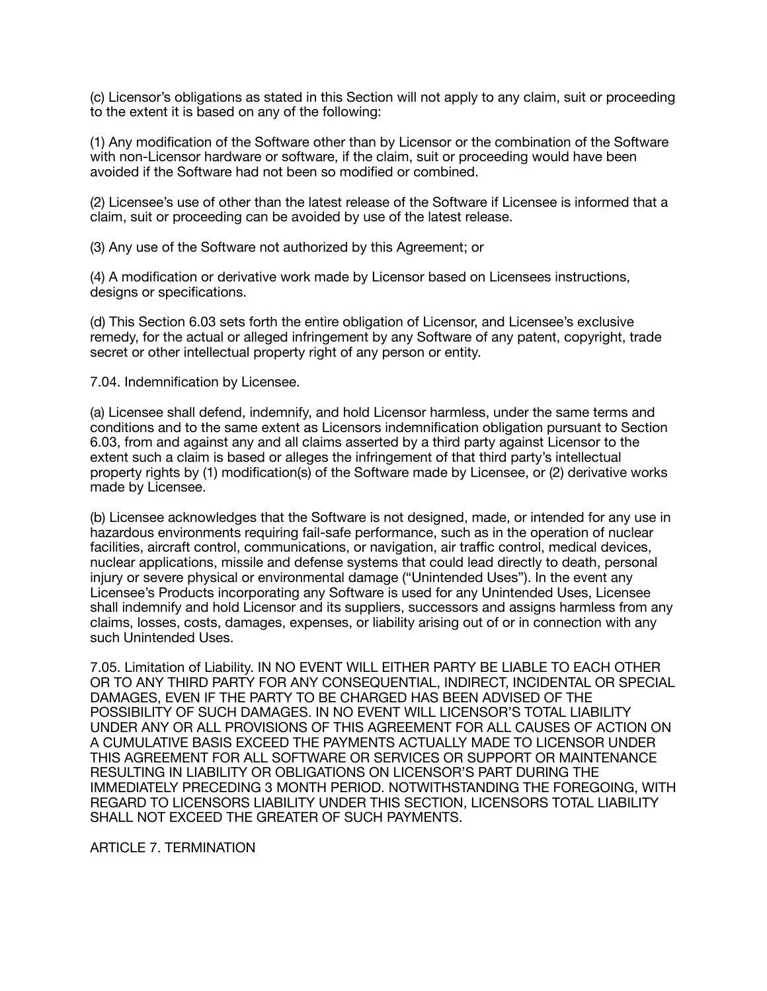(c) Licensor's obligations as stated in this Section will not apply to any claim, suit or proceeding to the extent it is based on any of the following:

(1) Any modification of the Software other than by Licensor or the combination of the Software with non-Licensor hardware or software, if the claim, suit or proceeding would have been avoided if the Software had not been so modified or combined.

(2) Licensee's use of other than the latest release of the Software if Licensee is informed that a claim, suit or proceeding can be avoided by use of the latest release.

(3) Any use of the Software not authorized by this Agreement; or

(4) A modification or derivative work made by Licensor based on Licensees instructions, designs or specifications.

(d) This Section 6.03 sets forth the entire obligation of Licensor, and Licensee's exclusive remedy, for the actual or alleged infringement by any Software of any patent, copyright, trade secret or other intellectual property right of any person or entity.

7.04. Indemnification by Licensee.

(a) Licensee shall defend, indemnify, and hold Licensor harmless, under the same terms and conditions and to the same extent as Licensors indemnification obligation pursuant to Section 6.03, from and against any and all claims asserted by a third party against Licensor to the extent such a claim is based or alleges the infringement of that third party's intellectual property rights by (1) modification(s) of the Software made by Licensee, or (2) derivative works made by Licensee.

(b) Licensee acknowledges that the Software is not designed, made, or intended for any use in hazardous environments requiring fail-safe performance, such as in the operation of nuclear facilities, aircraft control, communications, or navigation, air traffic control, medical devices, nuclear applications, missile and defense systems that could lead directly to death, personal injury or severe physical or environmental damage ("Unintended Uses"). In the event any Licensee's Products incorporating any Software is used for any Unintended Uses, Licensee shall indemnify and hold Licensor and its suppliers, successors and assigns harmless from any claims, losses, costs, damages, expenses, or liability arising out of or in connection with any such Unintended Uses.

7.05. Limitation of Liability. IN NO EVENT WILL EITHER PARTY BE LIABLE TO EACH OTHER OR TO ANY THIRD PARTY FOR ANY CONSEQUENTIAL, INDIRECT, INCIDENTAL OR SPECIAL DAMAGES, EVEN IF THE PARTY TO BE CHARGED HAS BEEN ADVISED OF THE POSSIBILITY OF SUCH DAMAGES. IN NO EVENT WILL LICENSOR'S TOTAL LIABILITY UNDER ANY OR ALL PROVISIONS OF THIS AGREEMENT FOR ALL CAUSES OF ACTION ON A CUMULATIVE BASIS EXCEED THE PAYMENTS ACTUALLY MADE TO LICENSOR UNDER THIS AGREEMENT FOR ALL SOFTWARE OR SERVICES OR SUPPORT OR MAINTENANCE RESULTING IN LIABILITY OR OBLIGATIONS ON LICENSOR'S PART DURING THE IMMEDIATELY PRECEDING 3 MONTH PERIOD. NOTWITHSTANDING THE FOREGOING, WITH REGARD TO LICENSORS LIABILITY UNDER THIS SECTION, LICENSORS TOTAL LIABILITY SHALL NOT EXCEED THE GREATER OF SUCH PAYMENTS.

ARTICLE 7. TERMINATION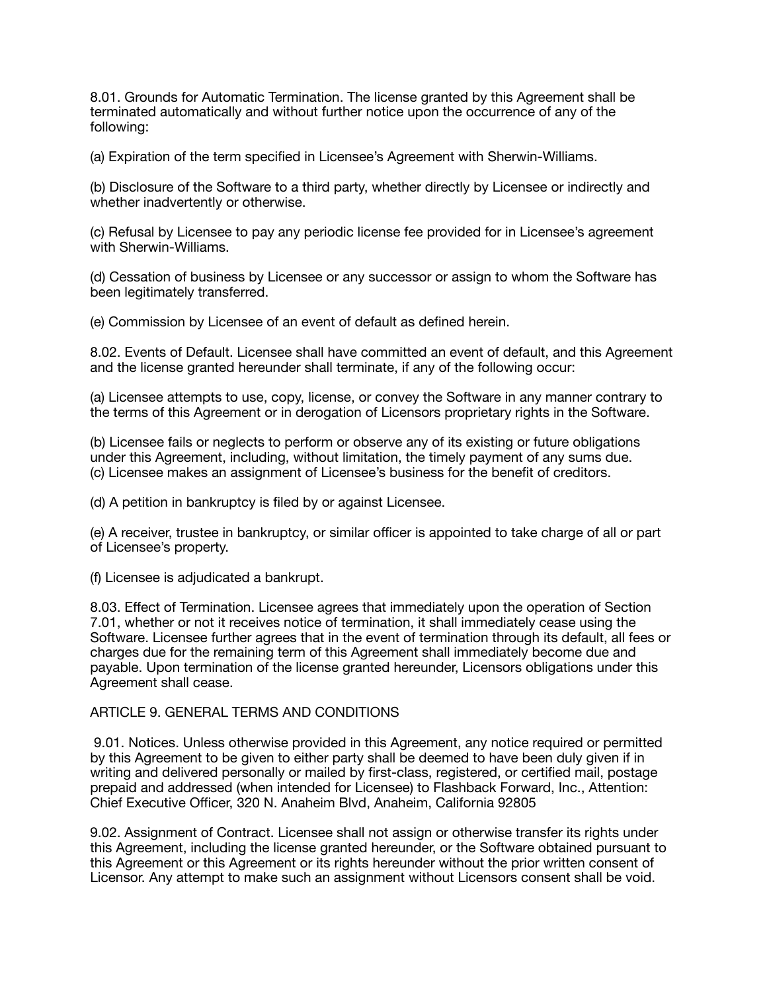8.01. Grounds for Automatic Termination. The license granted by this Agreement shall be terminated automatically and without further notice upon the occurrence of any of the following:

(a) Expiration of the term specified in Licensee's Agreement with Sherwin-Williams.

(b) Disclosure of the Software to a third party, whether directly by Licensee or indirectly and whether inadvertently or otherwise.

(c) Refusal by Licensee to pay any periodic license fee provided for in Licensee's agreement with Sherwin-Williams.

(d) Cessation of business by Licensee or any successor or assign to whom the Software has been legitimately transferred.

(e) Commission by Licensee of an event of default as defined herein.

8.02. Events of Default. Licensee shall have committed an event of default, and this Agreement and the license granted hereunder shall terminate, if any of the following occur:

(a) Licensee attempts to use, copy, license, or convey the Software in any manner contrary to the terms of this Agreement or in derogation of Licensors proprietary rights in the Software.

(b) Licensee fails or neglects to perform or observe any of its existing or future obligations under this Agreement, including, without limitation, the timely payment of any sums due. (c) Licensee makes an assignment of Licensee's business for the benefit of creditors.

(d) A petition in bankruptcy is filed by or against Licensee.

(e) A receiver, trustee in bankruptcy, or similar officer is appointed to take charge of all or part of Licensee's property.

(f) Licensee is adjudicated a bankrupt.

8.03. Effect of Termination. Licensee agrees that immediately upon the operation of Section 7.01, whether or not it receives notice of termination, it shall immediately cease using the Software. Licensee further agrees that in the event of termination through its default, all fees or charges due for the remaining term of this Agreement shall immediately become due and payable. Upon termination of the license granted hereunder, Licensors obligations under this Agreement shall cease.

# ARTICLE 9. GENERAL TERMS AND CONDITIONS

 9.01. Notices. Unless otherwise provided in this Agreement, any notice required or permitted by this Agreement to be given to either party shall be deemed to have been duly given if in writing and delivered personally or mailed by first-class, registered, or certified mail, postage prepaid and addressed (when intended for Licensee) to Flashback Forward, Inc., Attention: Chief Executive Officer, 320 N. Anaheim Blvd, Anaheim, California 92805

9.02. Assignment of Contract. Licensee shall not assign or otherwise transfer its rights under this Agreement, including the license granted hereunder, or the Software obtained pursuant to this Agreement or this Agreement or its rights hereunder without the prior written consent of Licensor. Any attempt to make such an assignment without Licensors consent shall be void.